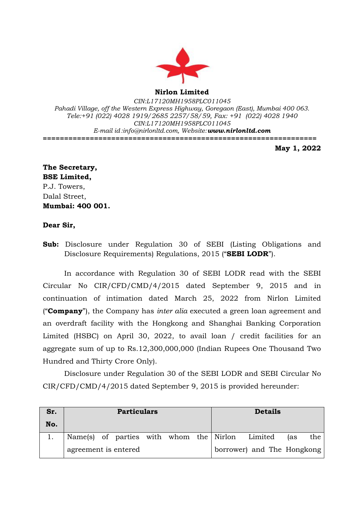

**Nirlon Limited**

*CIN:L17120MH1958PLC011045 Pahadi Village, off the Western Express Highway, Goregaon (East), Mumbai 400 063. Tele:+91 (022) 4028 1919/2685 2257/58/59, Fax: +91 (022) 4028 1940 CIN:L17120MH1958PLC011045 E-mail id[:info@nirlonltd.com,](mailto:info@nirlonltd.com) Website:[www.nirlonltd.com](http://www.nirlonltd.com/)* **================================================================**

**May 1, 2022**

**The Secretary, BSE Limited,** P.J. Towers, Dalal Street, **Mumbai: 400 001.**

## **Dear Sir,**

**Sub:** Disclosure under Regulation 30 of SEBI (Listing Obligations and Disclosure Requirements) Regulations, 2015 ("**SEBI LODR**").

In accordance with Regulation 30 of SEBI LODR read with the SEBI Circular No CIR/CFD/CMD/4/2015 dated September 9, 2015 and in continuation of intimation dated March 25, 2022 from Nirlon Limited ("**Company**"), the Company has *inter alia* executed a green loan agreement and an overdraft facility with the Hongkong and Shanghai Banking Corporation Limited (HSBC) on April 30, 2022, to avail loan / credit facilities for an aggregate sum of up to Rs.12,300,000,000 (Indian Rupees One Thousand Two Hundred and Thirty Crore Only).

Disclosure under Regulation 30 of the SEBI LODR and SEBI Circular No CIR/CFD/CMD/4/2015 dated September 9, 2015 is provided hereunder:

| Sr. | <b>Particulars</b>                              |  |  | <b>Details</b>             |     |     |
|-----|-------------------------------------------------|--|--|----------------------------|-----|-----|
| No. |                                                 |  |  |                            |     |     |
|     | Name(s) of parties with whom the Nirlon Limited |  |  |                            | (as | the |
|     | agreement is entered                            |  |  | borrower) and The Hongkong |     |     |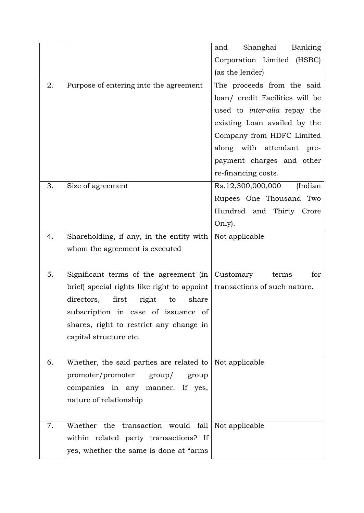|    |                                             | Shanghai<br>Banking<br>and          |
|----|---------------------------------------------|-------------------------------------|
|    |                                             | Corporation Limited (HSBC)          |
|    |                                             | (as the lender)                     |
| 2. | Purpose of entering into the agreement      | The proceeds from the said          |
|    |                                             | loan/ credit Facilities will be     |
|    |                                             | used to <i>inter-alia</i> repay the |
|    |                                             | existing Loan availed by the        |
|    |                                             | Company from HDFC Limited           |
|    |                                             | along with attendant pre-           |
|    |                                             | payment charges and other           |
|    |                                             | re-financing costs.                 |
| 3. | Size of agreement                           | Rs.12,300,000,000<br>(Indian        |
|    |                                             | Rupees One Thousand Two             |
|    |                                             | Hundred and Thirty Crore            |
|    |                                             | Only).                              |
| 4. | Shareholding, if any, in the entity with    | Not applicable                      |
|    | whom the agreement is executed              |                                     |
|    |                                             |                                     |
| 5. | Significant terms of the agreement (in      | for<br>Customary<br>terms           |
|    | brief) special rights like right to appoint | transactions of such nature.        |
|    | directors, first<br>right<br>share<br>to    |                                     |
|    | subscription in case of issuance of         |                                     |
|    | shares, right to restrict any change in     |                                     |
|    | capital structure etc.                      |                                     |
|    |                                             |                                     |
| 6. | Whether, the said parties are related to    | Not applicable                      |
|    | promoter/promoter group/<br>group           |                                     |
|    | companies in any manner. If yes,            |                                     |
|    | nature of relationship                      |                                     |
|    |                                             |                                     |
| 7. | fall<br>Whether the transaction would       | Not applicable                      |
|    | within related party transactions? If       |                                     |
|    | yes, whether the same is done at "arms"     |                                     |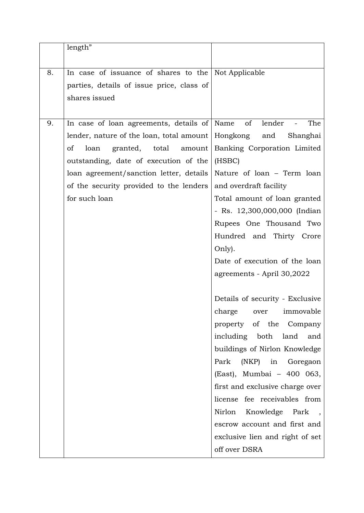|    | length"                                                 |                                 |  |
|----|---------------------------------------------------------|---------------------------------|--|
| 8. | In case of issuance of shares to the Not Applicable     |                                 |  |
|    | parties, details of issue price, class of               |                                 |  |
|    | shares issued                                           |                                 |  |
|    |                                                         |                                 |  |
| 9. | In case of loan agreements, details of Name             | of<br>The<br>lender             |  |
|    | lender, nature of the loan, total amount   Hongkong and | Shanghai                        |  |
|    | granted, total amount<br><sub>of</sub><br>loan          | Banking Corporation Limited     |  |
|    | outstanding, date of execution of the                   | (HSBC)                          |  |
|    | loan agreement/sanction letter, details                 | Nature of loan - Term loan      |  |
|    | of the security provided to the lenders                 | and overdraft facility          |  |
|    | for such loan                                           | Total amount of loan granted    |  |
|    |                                                         | - Rs. 12,300,000,000 (Indian    |  |
|    |                                                         | Rupees One Thousand Two         |  |
|    |                                                         | Hundred and Thirty Crore        |  |
|    |                                                         | Only).                          |  |
|    |                                                         | Date of execution of the loan   |  |
|    |                                                         | agreements - April 30,2022      |  |
|    |                                                         | Details of security - Exclusive |  |
|    |                                                         | charge<br>over<br>immovable     |  |
|    |                                                         | property of the Company         |  |
|    |                                                         | including both land<br>and      |  |
|    |                                                         | buildings of Nirlon Knowledge   |  |
|    |                                                         | Park<br>(NKP) in Goregaon       |  |
|    |                                                         | (East), Mumbai - 400 063,       |  |
|    |                                                         | first and exclusive charge over |  |
|    |                                                         | license fee receivables from    |  |
|    |                                                         | Nirlon<br>Knowledge Park,       |  |
|    |                                                         | escrow account and first and    |  |
|    |                                                         | exclusive lien and right of set |  |
|    |                                                         | off over DSRA                   |  |